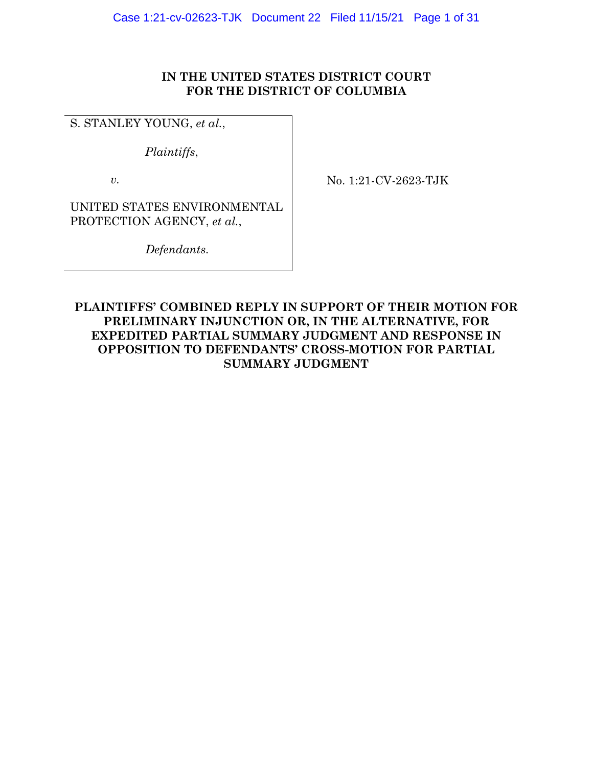# **IN THE UNITED STATES DISTRICT COURT FOR THE DISTRICT OF COLUMBIA**

S. STANLEY YOUNG, *et al.*,

*Plaintiffs*,

*v.* 

No. 1:21-CV-2623-TJK

UNITED STATES ENVIRONMENTAL PROTECTION AGENCY, *et al.*,

*Defendants.* 

# **PLAINTIFFS' COMBINED REPLY IN SUPPORT OF THEIR MOTION FOR PRELIMINARY INJUNCTION OR, IN THE ALTERNATIVE, FOR EXPEDITED PARTIAL SUMMARY JUDGMENT AND RESPONSE IN OPPOSITION TO DEFENDANTS' CROSS-MOTION FOR PARTIAL SUMMARY JUDGMENT**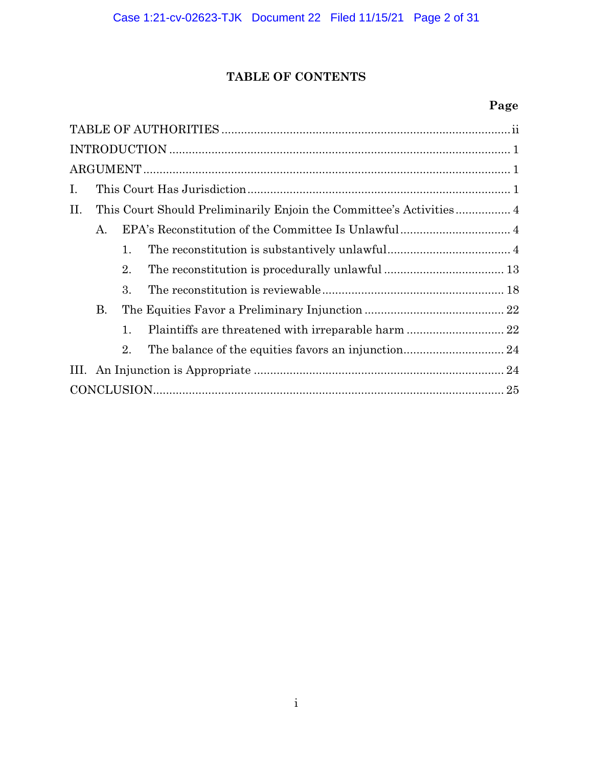# **TABLE OF CONTENTS**

# **Page**

| Ι.        |
|-----------|
| II.       |
| Α.        |
| 1.        |
| 2.        |
| 3.        |
| <b>B.</b> |
| 1.        |
| 2.        |
|           |
|           |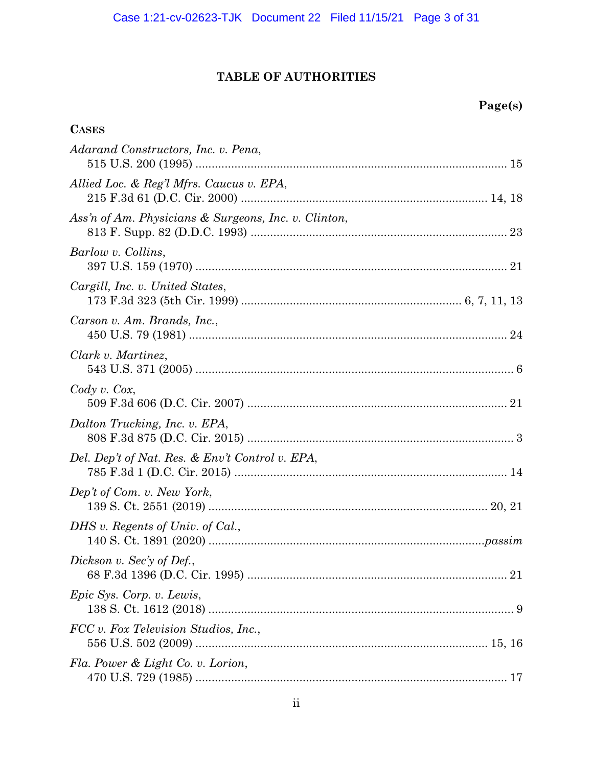# **TABLE OF AUTHORITIES**

**CASES**

# **Page(s)**

| Adarand Constructors, Inc. v. Pena,                  |
|------------------------------------------------------|
| Allied Loc. & Reg'l Mfrs. Caucus v. EPA,             |
| Ass'n of Am. Physicians & Surgeons, Inc. v. Clinton, |
| Barlow v. Collins,                                   |
| Cargill, Inc. v. United States,                      |
| Carson v. Am. Brands, Inc.,                          |
| Clark v. Martinez,                                   |
| Cody v. Cox,                                         |
| Dalton Trucking, Inc. v. EPA,                        |
| Del. Dep't of Nat. Res. & Env't Control v. EPA,      |
| Dep't of Com. v. New York,                           |
| DHS v. Regents of Univ. of Cal.,                     |
| Dickson v. Sec'y of Def.,                            |
| Epic Sys. Corp. v. Lewis,                            |
| FCC v. Fox Television Studios, Inc.,                 |
| Fla. Power & Light Co. v. Lorion,                    |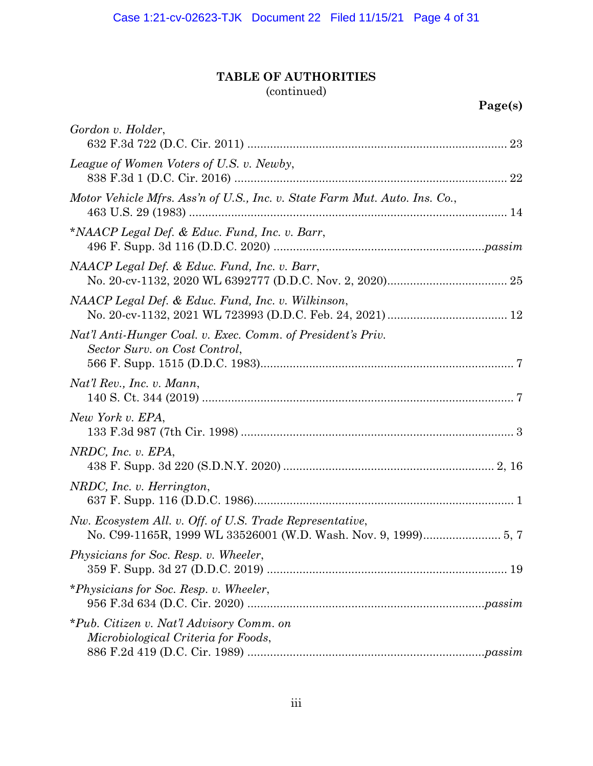# **TABLE OF AUTHORITIES**

(continued)

| Gordon v. Holder,                                                                            |
|----------------------------------------------------------------------------------------------|
| League of Women Voters of U.S. v. Newby,                                                     |
| Motor Vehicle Mfrs. Ass'n of U.S., Inc. v. State Farm Mut. Auto. Ins. Co.,                   |
| *NAACP Legal Def. & Educ. Fund, Inc. v. Barr,                                                |
| NAACP Legal Def. & Educ. Fund, Inc. v. Barr,                                                 |
| NAACP Legal Def. & Educ. Fund, Inc. v. Wilkinson,                                            |
| Nat'l Anti-Hunger Coal. v. Exec. Comm. of President's Priv.<br>Sector Surv. on Cost Control, |
| Nat'l Rev., Inc. v. Mann,                                                                    |
| New York v. EPA,                                                                             |
| NRDC, Inc. v. EPA,                                                                           |
| NRDC, Inc. v. Herrington,                                                                    |
| Nw. Ecosystem All. v. Off. of U.S. Trade Representative,                                     |
| Physicians for Soc. Resp. v. Wheeler,                                                        |
| *Physicians for Soc. Resp. v. Wheeler,                                                       |
| *Pub. Citizen v. Nat'l Advisory Comm. on<br>Microbiological Criteria for Foods,              |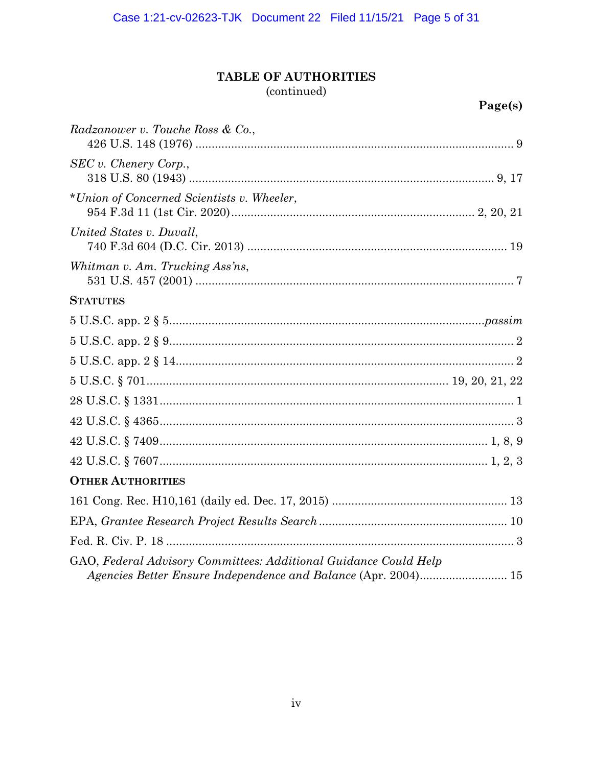# TABLE OF AUTHORITIES

# (continued)

| 'age(s) |  |
|---------|--|
|         |  |

| Radzanower v. Touche Ross & Co.,                                 |
|------------------------------------------------------------------|
| SEC v. <i>Chenery Corp.</i> ,                                    |
| *Union of Concerned Scientists v. Wheeler,                       |
| United States v. Duvall,                                         |
| Whitman v. Am. Trucking Ass'ns,                                  |
| <b>STATUTES</b>                                                  |
|                                                                  |
|                                                                  |
|                                                                  |
|                                                                  |
|                                                                  |
|                                                                  |
|                                                                  |
|                                                                  |
| <b>OTHER AUTHORITIES</b>                                         |
|                                                                  |
|                                                                  |
|                                                                  |
| GAO, Federal Advisory Committees: Additional Guidance Could Help |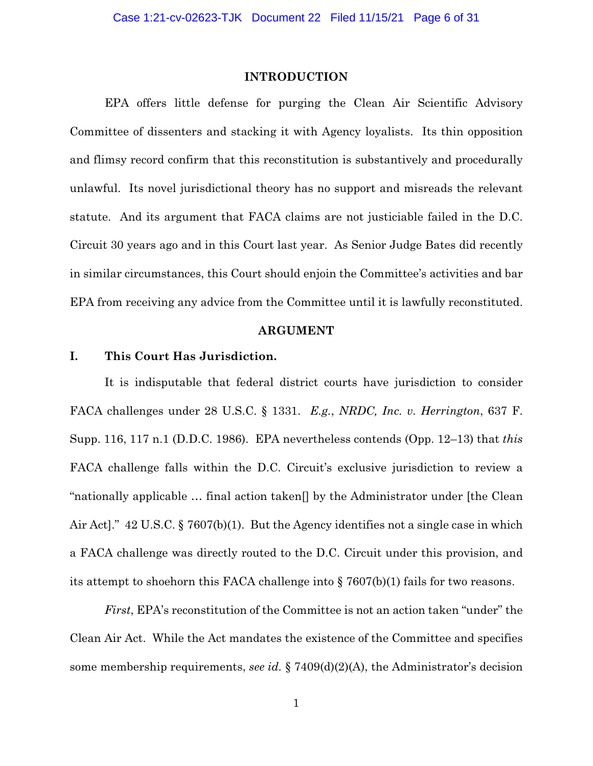# **INTRODUCTION**

 EPA offers little defense for purging the Clean Air Scientific Advisory Committee of dissenters and stacking it with Agency loyalists. Its thin opposition and flimsy record confirm that this reconstitution is substantively and procedurally unlawful. Its novel jurisdictional theory has no support and misreads the relevant statute. And its argument that FACA claims are not justiciable failed in the D.C. Circuit 30 years ago and in this Court last year. As Senior Judge Bates did recently in similar circumstances, this Court should enjoin the Committee's activities and bar EPA from receiving any advice from the Committee until it is lawfully reconstituted.

#### **ARGUMENT**

# **I. This Court Has Jurisdiction.**

It is indisputable that federal district courts have jurisdiction to consider FACA challenges under 28 U.S.C. § 1331. *E.g.*, *NRDC, Inc. v. Herrington*, 637 F. Supp. 116, 117 n.1 (D.D.C. 1986). EPA nevertheless contends (Opp. 12–13) that *this*  FACA challenge falls within the D.C. Circuit's exclusive jurisdiction to review a "nationally applicable … final action taken[] by the Administrator under [the Clean Air Act]." 42 U.S.C. § 7607(b)(1). But the Agency identifies not a single case in which a FACA challenge was directly routed to the D.C. Circuit under this provision, and its attempt to shoehorn this FACA challenge into  $\S$  7607(b)(1) fails for two reasons.

*First*, EPA's reconstitution of the Committee is not an action taken "under" the Clean Air Act. While the Act mandates the existence of the Committee and specifies some membership requirements, *see id.* § 7409(d)(2)(A), the Administrator's decision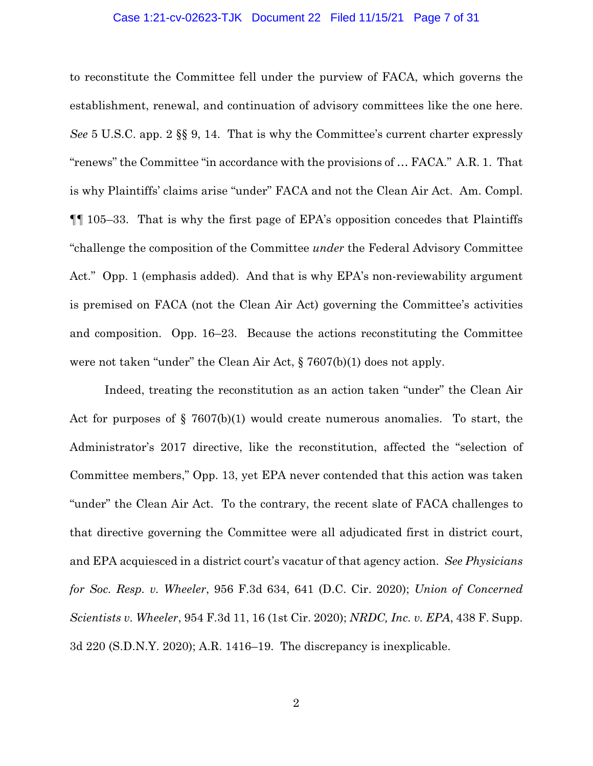#### Case 1:21-cv-02623-TJK Document 22 Filed 11/15/21 Page 7 of 31

to reconstitute the Committee fell under the purview of FACA, which governs the establishment, renewal, and continuation of advisory committees like the one here. *See* 5 U.S.C. app. 2 §§ 9, 14. That is why the Committee's current charter expressly "renews" the Committee "in accordance with the provisions of … FACA." A.R. 1. That is why Plaintiffs' claims arise "under" FACA and not the Clean Air Act. Am. Compl. ¶¶ 105–33. That is why the first page of EPA's opposition concedes that Plaintiffs "challenge the composition of the Committee *under* the Federal Advisory Committee Act." Opp. 1 (emphasis added). And that is why EPA's non-reviewability argument is premised on FACA (not the Clean Air Act) governing the Committee's activities and composition. Opp. 16–23. Because the actions reconstituting the Committee were not taken "under" the Clean Air Act, § 7607(b)(1) does not apply.

 Indeed, treating the reconstitution as an action taken "under" the Clean Air Act for purposes of  $\S$  7607(b)(1) would create numerous anomalies. To start, the Administrator's 2017 directive, like the reconstitution, affected the "selection of Committee members," Opp. 13, yet EPA never contended that this action was taken "under" the Clean Air Act. To the contrary, the recent slate of FACA challenges to that directive governing the Committee were all adjudicated first in district court, and EPA acquiesced in a district court's vacatur of that agency action. *See Physicians for Soc. Resp. v. Wheeler*, 956 F.3d 634, 641 (D.C. Cir. 2020); *Union of Concerned Scientists v. Wheeler*, 954 F.3d 11, 16 (1st Cir. 2020); *NRDC, Inc. v. EPA*, 438 F. Supp. 3d 220 (S.D.N.Y. 2020); A.R. 1416–19. The discrepancy is inexplicable.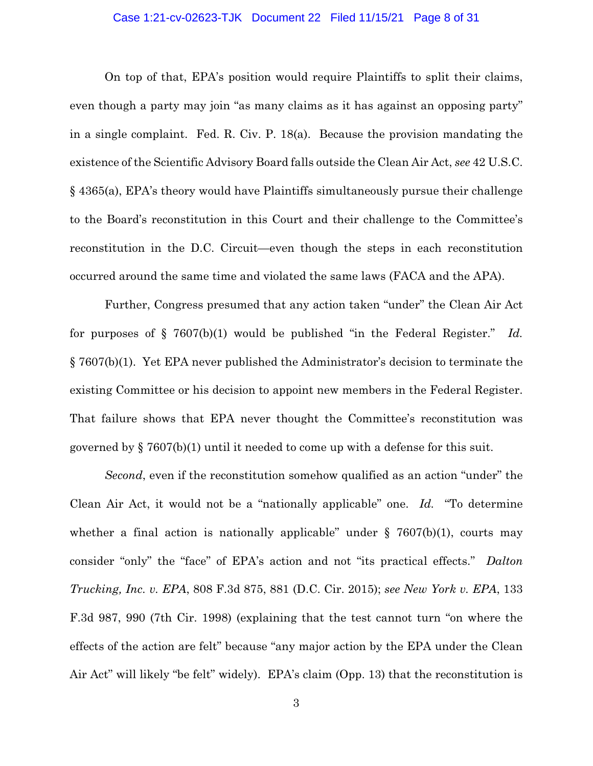# Case 1:21-cv-02623-TJK Document 22 Filed 11/15/21 Page 8 of 31

 On top of that, EPA's position would require Plaintiffs to split their claims, even though a party may join "as many claims as it has against an opposing party" in a single complaint. Fed. R. Civ. P. 18(a). Because the provision mandating the existence of the Scientific Advisory Board falls outside the Clean Air Act, *see* 42 U.S.C. § 4365(a), EPA's theory would have Plaintiffs simultaneously pursue their challenge to the Board's reconstitution in this Court and their challenge to the Committee's reconstitution in the D.C. Circuit—even though the steps in each reconstitution occurred around the same time and violated the same laws (FACA and the APA).

 Further, Congress presumed that any action taken "under" the Clean Air Act for purposes of § 7607(b)(1) would be published "in the Federal Register." *Id.* § 7607(b)(1). Yet EPA never published the Administrator's decision to terminate the existing Committee or his decision to appoint new members in the Federal Register. That failure shows that EPA never thought the Committee's reconstitution was governed by § 7607(b)(1) until it needed to come up with a defense for this suit.

*Second*, even if the reconstitution somehow qualified as an action "under" the Clean Air Act, it would not be a "nationally applicable" one. *Id.* "To determine whether a final action is nationally applicable" under  $\S$  7607(b)(1), courts may consider "only" the "face" of EPA's action and not "its practical effects." *Dalton Trucking, Inc. v. EPA*, 808 F.3d 875, 881 (D.C. Cir. 2015); *see New York v. EPA*, 133 F.3d 987, 990 (7th Cir. 1998) (explaining that the test cannot turn "on where the effects of the action are felt" because "any major action by the EPA under the Clean Air Act" will likely "be felt" widely). EPA's claim (Opp. 13) that the reconstitution is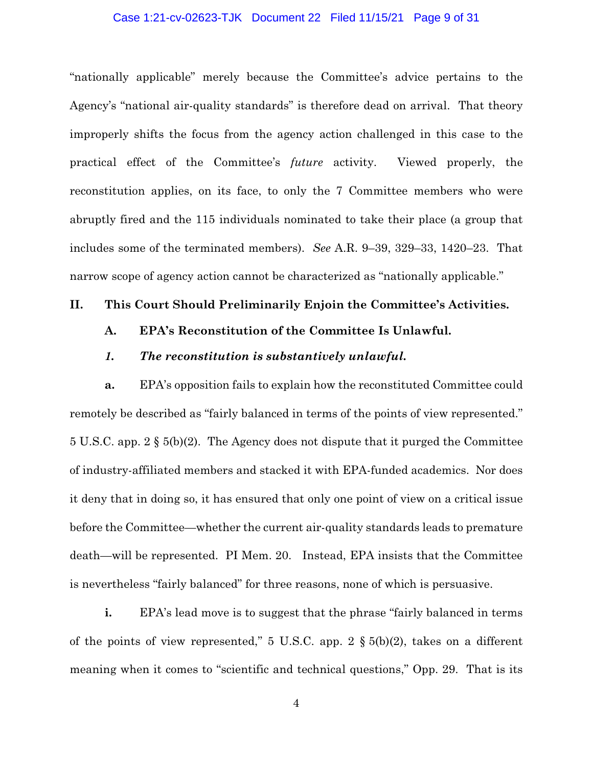# Case 1:21-cv-02623-TJK Document 22 Filed 11/15/21 Page 9 of 31

"nationally applicable" merely because the Committee's advice pertains to the Agency's "national air-quality standards" is therefore dead on arrival. That theory improperly shifts the focus from the agency action challenged in this case to the practical effect of the Committee's *future* activity. Viewed properly, the reconstitution applies, on its face, to only the 7 Committee members who were abruptly fired and the 115 individuals nominated to take their place (a group that includes some of the terminated members). *See* A.R. 9–39, 329–33, 1420–23. That narrow scope of agency action cannot be characterized as "nationally applicable."

# **II. This Court Should Preliminarily Enjoin the Committee's Activities.**

# **A. EPA's Reconstitution of the Committee Is Unlawful.**

# *1. The reconstitution is substantively unlawful.*

**a.** EPA's opposition fails to explain how the reconstituted Committee could remotely be described as "fairly balanced in terms of the points of view represented." 5 U.S.C. app. 2 § 5(b)(2). The Agency does not dispute that it purged the Committee of industry-affiliated members and stacked it with EPA-funded academics. Nor does it deny that in doing so, it has ensured that only one point of view on a critical issue before the Committee—whether the current air-quality standards leads to premature death—will be represented. PI Mem. 20. Instead, EPA insists that the Committee is nevertheless "fairly balanced" for three reasons, none of which is persuasive.

**i.** EPA's lead move is to suggest that the phrase "fairly balanced in terms" of the points of view represented,"  $5 \text{ U.S.C. }$  app.  $2 \text{ § } 5(b)(2)$ , takes on a different meaning when it comes to "scientific and technical questions," Opp. 29. That is its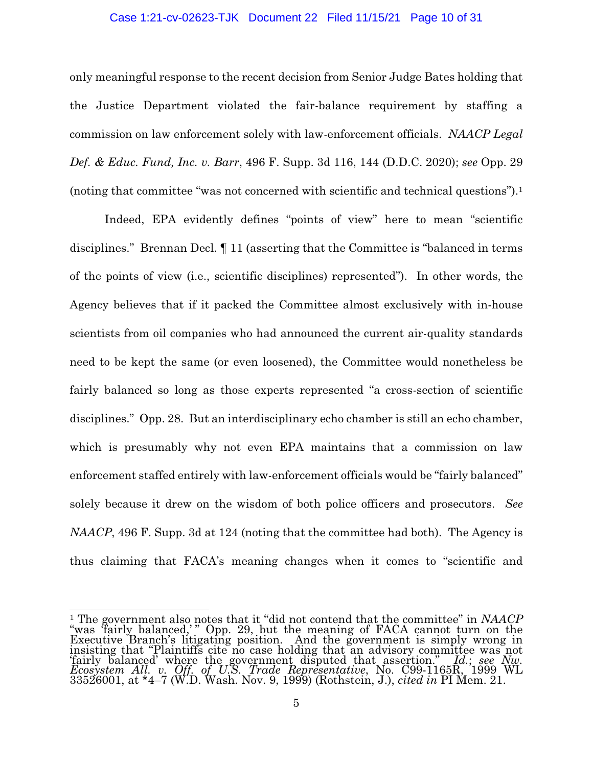# Case 1:21-cv-02623-TJK Document 22 Filed 11/15/21 Page 10 of 31

only meaningful response to the recent decision from Senior Judge Bates holding that the Justice Department violated the fair-balance requirement by staffing a commission on law enforcement solely with law-enforcement officials. *NAACP Legal Def. & Educ. Fund, Inc. v. Barr*, 496 F. Supp. 3d 116, 144 (D.D.C. 2020); *see* Opp. 29 (noting that committee "was not concerned with scientific and technical questions").1

Indeed, EPA evidently defines "points of view" here to mean "scientific disciplines." Brennan Decl. ¶ 11 (asserting that the Committee is "balanced in terms of the points of view (i.e., scientific disciplines) represented"). In other words, the Agency believes that if it packed the Committee almost exclusively with in-house scientists from oil companies who had announced the current air-quality standards need to be kept the same (or even loosened), the Committee would nonetheless be fairly balanced so long as those experts represented "a cross-section of scientific disciplines." Opp. 28. But an interdisciplinary echo chamber is still an echo chamber, which is presumably why not even EPA maintains that a commission on law enforcement staffed entirely with law-enforcement officials would be "fairly balanced" solely because it drew on the wisdom of both police officers and prosecutors. *See NAACP*, 496 F. Supp. 3d at 124 (noting that the committee had both). The Agency is thus claiming that FACA's meaning changes when it comes to "scientific and

<sup>&</sup>lt;u>.</u> 1 The government also notes that it "did not contend that the committee" in *NAACP* "was 'fairly balanced,' " Opp. 29, but the meaning of FACA cannot turn on the Executive Branch's litigating position. And the government is simply wrong in insisting that "Plaintiffs cite no case holding that an advisory committee was not 'fairly balanced' where the government disputed that assertion." *Id.*; *see Nw. Ecosystem All. v. Off. of U.S. Trade Representative*, No. C99-1165R, 1999 WL 33526001, at \*4–7 (W.D. Wash. Nov. 9, 1999) (Rothstein, J.), *cited in* PI Mem. 21.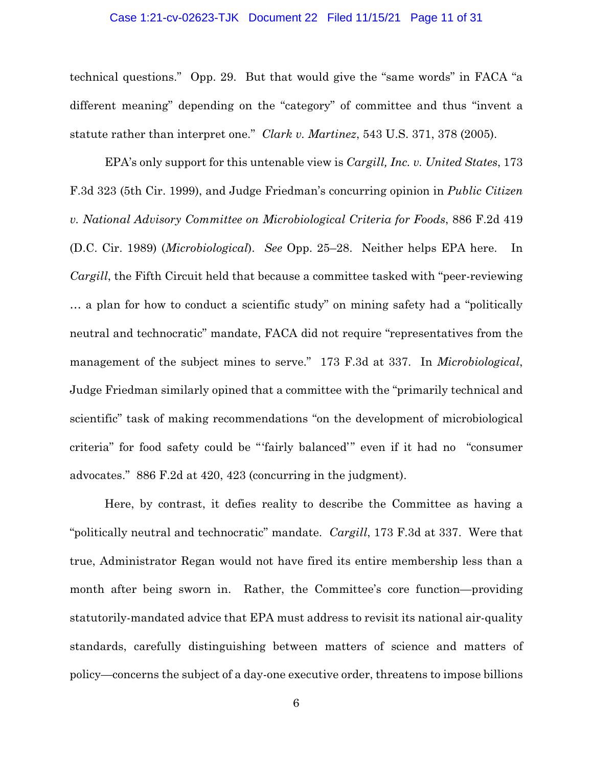# Case 1:21-cv-02623-TJK Document 22 Filed 11/15/21 Page 11 of 31

technical questions." Opp. 29. But that would give the "same words" in FACA "a different meaning" depending on the "category" of committee and thus "invent a statute rather than interpret one." *Clark v. Martinez*, 543 U.S. 371, 378 (2005).

EPA's only support for this untenable view is *Cargill, Inc. v. United States*, 173 F.3d 323 (5th Cir. 1999), and Judge Friedman's concurring opinion in *Public Citizen v. National Advisory Committee on Microbiological Criteria for Foods*, 886 F.2d 419 (D.C. Cir. 1989) (*Microbiological*). *See* Opp. 25–28. Neither helps EPA here. In *Cargill*, the Fifth Circuit held that because a committee tasked with "peer-reviewing" … a plan for how to conduct a scientific study" on mining safety had a "politically neutral and technocratic" mandate, FACA did not require "representatives from the management of the subject mines to serve." 173 F.3d at 337. In *Microbiological*, Judge Friedman similarly opined that a committee with the "primarily technical and scientific" task of making recommendations "on the development of microbiological criteria" for food safety could be "'fairly balanced'" even if it had no "consumer advocates." 886 F.2d at 420, 423 (concurring in the judgment).

Here, by contrast, it defies reality to describe the Committee as having a "politically neutral and technocratic" mandate. *Cargill*, 173 F.3d at 337. Were that true, Administrator Regan would not have fired its entire membership less than a month after being sworn in. Rather, the Committee's core function—providing statutorily-mandated advice that EPA must address to revisit its national air-quality standards, carefully distinguishing between matters of science and matters of policy—concerns the subject of a day-one executive order, threatens to impose billions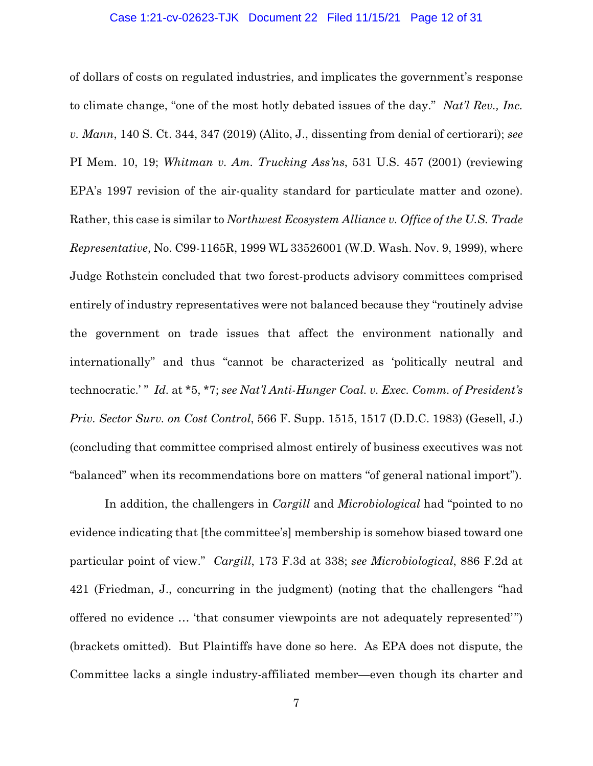# Case 1:21-cv-02623-TJK Document 22 Filed 11/15/21 Page 12 of 31

of dollars of costs on regulated industries, and implicates the government's response to climate change, "one of the most hotly debated issues of the day." *Nat'l Rev., Inc. v. Mann*, 140 S. Ct. 344, 347 (2019) (Alito, J., dissenting from denial of certiorari); *see*  PI Mem. 10, 19; *Whitman v. Am. Trucking Ass'ns*, 531 U.S. 457 (2001) (reviewing EPA's 1997 revision of the air-quality standard for particulate matter and ozone). Rather, this case is similar to *Northwest Ecosystem Alliance v. Office of the U.S. Trade Representative*, No. C99-1165R, 1999 WL 33526001 (W.D. Wash. Nov. 9, 1999), where Judge Rothstein concluded that two forest-products advisory committees comprised entirely of industry representatives were not balanced because they "routinely advise the government on trade issues that affect the environment nationally and internationally" and thus "cannot be characterized as 'politically neutral and technocratic.' " *Id.* at \*5, \*7; *see Nat'l Anti-Hunger Coal. v. Exec. Comm. of President's Priv. Sector Surv. on Cost Control*, 566 F. Supp. 1515, 1517 (D.D.C. 1983) (Gesell, J.) (concluding that committee comprised almost entirely of business executives was not "balanced" when its recommendations bore on matters "of general national import").

In addition, the challengers in *Cargill* and *Microbiological* had "pointed to no evidence indicating that [the committee's] membership is somehow biased toward one particular point of view." *Cargill*, 173 F.3d at 338; *see Microbiological*, 886 F.2d at 421 (Friedman, J., concurring in the judgment) (noting that the challengers "had offered no evidence … 'that consumer viewpoints are not adequately represented'") (brackets omitted). But Plaintiffs have done so here. As EPA does not dispute, the Committee lacks a single industry-affiliated member—even though its charter and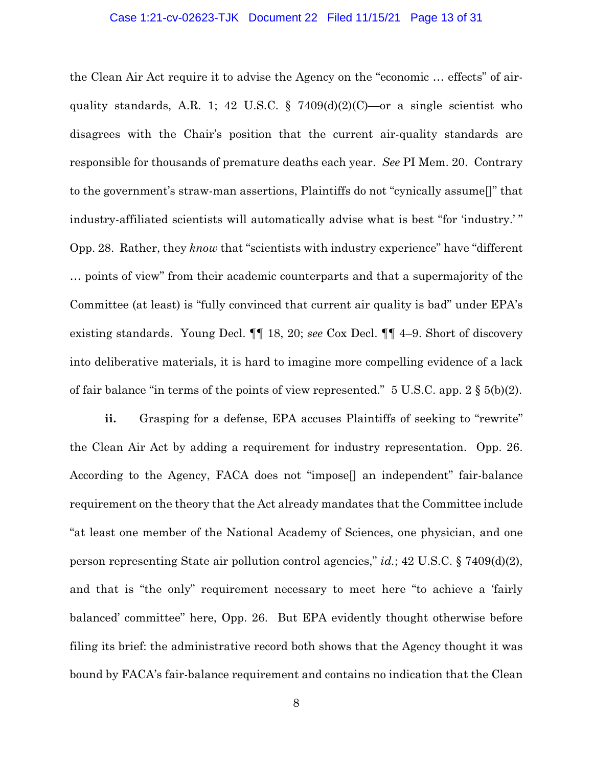### Case 1:21-cv-02623-TJK Document 22 Filed 11/15/21 Page 13 of 31

the Clean Air Act require it to advise the Agency on the "economic … effects" of airquality standards, A.R. 1; 42 U.S.C.  $\S$  7409(d)(2)(C)—or a single scientist who disagrees with the Chair's position that the current air-quality standards are responsible for thousands of premature deaths each year. *See* PI Mem. 20. Contrary to the government's straw-man assertions, Plaintiffs do not "cynically assume[]" that industry-affiliated scientists will automatically advise what is best "for 'industry.' " Opp. 28. Rather, they *know* that "scientists with industry experience" have "different … points of view" from their academic counterparts and that a supermajority of the Committee (at least) is "fully convinced that current air quality is bad" under EPA's existing standards. Young Decl. ¶¶ 18, 20; *see* Cox Decl. ¶¶ 4–9. Short of discovery into deliberative materials, it is hard to imagine more compelling evidence of a lack of fair balance "in terms of the points of view represented." 5 U.S.C. app.  $2 \S 5(b)(2)$ .

**ii.** Grasping for a defense, EPA accuses Plaintiffs of seeking to "rewrite" the Clean Air Act by adding a requirement for industry representation. Opp. 26. According to the Agency, FACA does not "impose[] an independent" fair-balance requirement on the theory that the Act already mandates that the Committee include "at least one member of the National Academy of Sciences, one physician, and one person representing State air pollution control agencies," *id.*; 42 U.S.C. § 7409(d)(2), and that is "the only" requirement necessary to meet here "to achieve a 'fairly balanced' committee" here, Opp. 26. But EPA evidently thought otherwise before filing its brief: the administrative record both shows that the Agency thought it was bound by FACA's fair-balance requirement and contains no indication that the Clean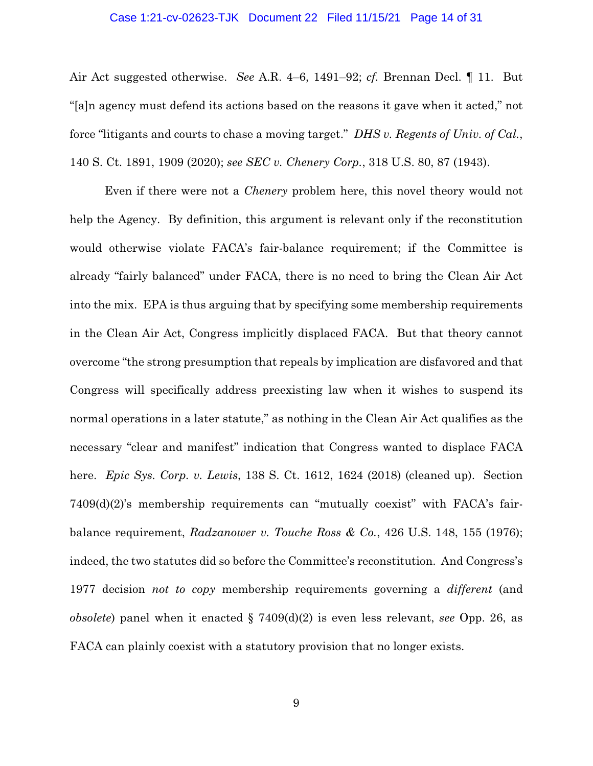# Case 1:21-cv-02623-TJK Document 22 Filed 11/15/21 Page 14 of 31

Air Act suggested otherwise. *See* A.R. 4–6, 1491–92; *cf.* Brennan Decl. ¶ 11. But "[a]n agency must defend its actions based on the reasons it gave when it acted," not force "litigants and courts to chase a moving target." *DHS v. Regents of Univ. of Cal.*, 140 S. Ct. 1891, 1909 (2020); *see SEC v. Chenery Corp.*, 318 U.S. 80, 87 (1943).

Even if there were not a *Chenery* problem here, this novel theory would not help the Agency. By definition, this argument is relevant only if the reconstitution would otherwise violate FACA's fair-balance requirement; if the Committee is already "fairly balanced" under FACA, there is no need to bring the Clean Air Act into the mix. EPA is thus arguing that by specifying some membership requirements in the Clean Air Act, Congress implicitly displaced FACA. But that theory cannot overcome "the strong presumption that repeals by implication are disfavored and that Congress will specifically address preexisting law when it wishes to suspend its normal operations in a later statute," as nothing in the Clean Air Act qualifies as the necessary "clear and manifest" indication that Congress wanted to displace FACA here. *Epic Sys. Corp. v. Lewis*, 138 S. Ct. 1612, 1624 (2018) (cleaned up). Section 7409(d)(2)'s membership requirements can "mutually coexist" with FACA's fairbalance requirement, *Radzanower v. Touche Ross & Co.*, 426 U.S. 148, 155 (1976); indeed, the two statutes did so before the Committee's reconstitution. And Congress's 1977 decision *not to copy* membership requirements governing a *different* (and *obsolete*) panel when it enacted § 7409(d)(2) is even less relevant, *see* Opp. 26, as FACA can plainly coexist with a statutory provision that no longer exists.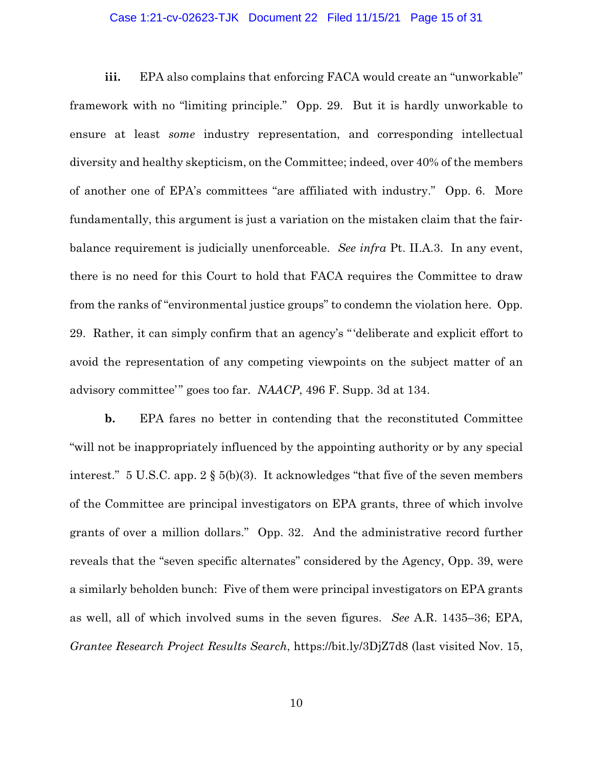# Case 1:21-cv-02623-TJK Document 22 Filed 11/15/21 Page 15 of 31

**iii.** EPA also complains that enforcing FACA would create an "unworkable" framework with no "limiting principle." Opp. 29. But it is hardly unworkable to ensure at least *some* industry representation, and corresponding intellectual diversity and healthy skepticism, on the Committee; indeed, over 40% of the members of another one of EPA's committees "are affiliated with industry." Opp. 6. More fundamentally, this argument is just a variation on the mistaken claim that the fairbalance requirement is judicially unenforceable. *See infra* Pt. II.A.3. In any event, there is no need for this Court to hold that FACA requires the Committee to draw from the ranks of "environmental justice groups" to condemn the violation here. Opp. 29. Rather, it can simply confirm that an agency's "'deliberate and explicit effort to avoid the representation of any competing viewpoints on the subject matter of an advisory committee'" goes too far. *NAACP*, 496 F. Supp. 3d at 134.

**b.** EPA fares no better in contending that the reconstituted Committee "will not be inappropriately influenced by the appointing authority or by any special interest." 5 U.S.C. app. 2 § 5(b)(3). It acknowledges "that five of the seven members of the Committee are principal investigators on EPA grants, three of which involve grants of over a million dollars." Opp. 32. And the administrative record further reveals that the "seven specific alternates" considered by the Agency, Opp. 39, were a similarly beholden bunch: Five of them were principal investigators on EPA grants as well, all of which involved sums in the seven figures. *See* A.R. 1435–36; EPA, *Grantee Research Project Results Search*, https://bit.ly/3DjZ7d8 (last visited Nov. 15,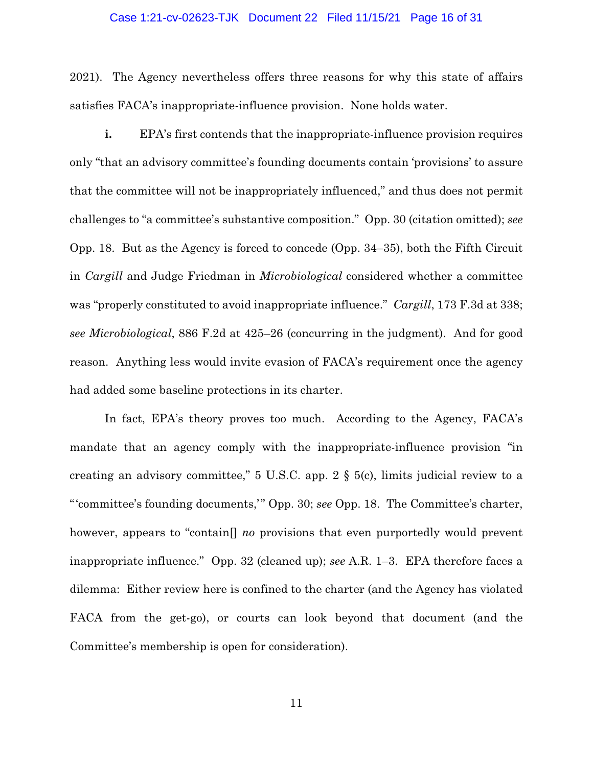### Case 1:21-cv-02623-TJK Document 22 Filed 11/15/21 Page 16 of 31

2021). The Agency nevertheless offers three reasons for why this state of affairs satisfies FACA's inappropriate-influence provision. None holds water.

**i.** EPA's first contends that the inappropriate-influence provision requires only "that an advisory committee's founding documents contain 'provisions' to assure that the committee will not be inappropriately influenced," and thus does not permit challenges to "a committee's substantive composition." Opp. 30 (citation omitted); *see*  Opp. 18. But as the Agency is forced to concede (Opp. 34–35), both the Fifth Circuit in *Cargill* and Judge Friedman in *Microbiological* considered whether a committee was "properly constituted to avoid inappropriate influence." *Cargill*, 173 F.3d at 338; *see Microbiological*, 886 F.2d at 425–26 (concurring in the judgment). And for good reason. Anything less would invite evasion of FACA's requirement once the agency had added some baseline protections in its charter.

In fact, EPA's theory proves too much. According to the Agency, FACA's mandate that an agency comply with the inappropriate-influence provision "in creating an advisory committee," 5 U.S.C. app. 2 § 5(c), limits judicial review to a "'committee's founding documents,'" Opp. 30; *see* Opp. 18. The Committee's charter, however, appears to "contain[] *no* provisions that even purportedly would prevent inappropriate influence." Opp. 32 (cleaned up); *see* A.R. 1–3. EPA therefore faces a dilemma: Either review here is confined to the charter (and the Agency has violated FACA from the get-go), or courts can look beyond that document (and the Committee's membership is open for consideration).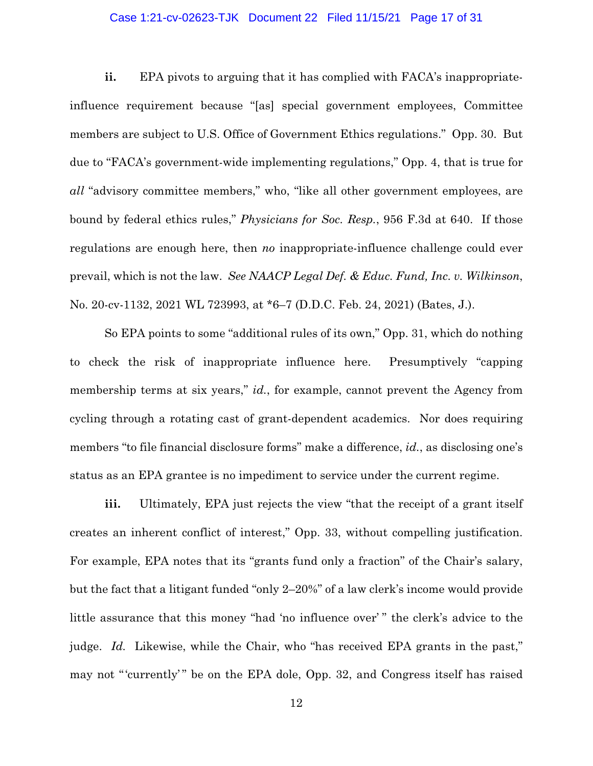# Case 1:21-cv-02623-TJK Document 22 Filed 11/15/21 Page 17 of 31

**ii.** EPA pivots to arguing that it has complied with FACA's inappropriateinfluence requirement because "[as] special government employees, Committee members are subject to U.S. Office of Government Ethics regulations." Opp. 30. But due to "FACA's government-wide implementing regulations," Opp. 4, that is true for *all* "advisory committee members," who, "like all other government employees, are bound by federal ethics rules," *Physicians for Soc. Resp.*, 956 F.3d at 640. If those regulations are enough here, then *no* inappropriate-influence challenge could ever prevail, which is not the law. *See NAACP Legal Def. & Educ. Fund, Inc. v. Wilkinson*, No. 20-cv-1132, 2021 WL 723993, at \*6–7 (D.D.C. Feb. 24, 2021) (Bates, J.).

So EPA points to some "additional rules of its own," Opp. 31, which do nothing to check the risk of inappropriate influence here. Presumptively "capping membership terms at six years," *id.*, for example, cannot prevent the Agency from cycling through a rotating cast of grant-dependent academics. Nor does requiring members "to file financial disclosure forms" make a difference, *id.*, as disclosing one's status as an EPA grantee is no impediment to service under the current regime.

**iii.** Ultimately, EPA just rejects the view "that the receipt of a grant itself creates an inherent conflict of interest," Opp. 33, without compelling justification. For example, EPA notes that its "grants fund only a fraction" of the Chair's salary, but the fact that a litigant funded "only 2–20%" of a law clerk's income would provide little assurance that this money "had 'no influence over' " the clerk's advice to the judge. *Id.* Likewise, while the Chair, who "has received EPA grants in the past," may not "'currently'" be on the EPA dole, Opp. 32, and Congress itself has raised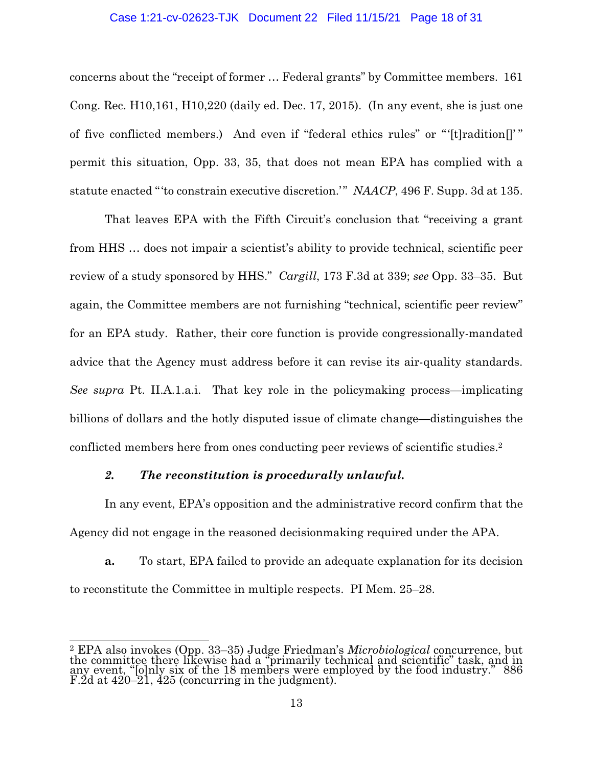# Case 1:21-cv-02623-TJK Document 22 Filed 11/15/21 Page 18 of 31

concerns about the "receipt of former … Federal grants" by Committee members. 161 Cong. Rec. H10,161, H10,220 (daily ed. Dec. 17, 2015). (In any event, she is just one of five conflicted members.) And even if "federal ethics rules" or "'[t]radition[]'" permit this situation, Opp. 33, 35, that does not mean EPA has complied with a statute enacted "'to constrain executive discretion.'" *NAACP*, 496 F. Supp. 3d at 135.

That leaves EPA with the Fifth Circuit's conclusion that "receiving a grant from HHS … does not impair a scientist's ability to provide technical, scientific peer review of a study sponsored by HHS." *Cargill*, 173 F.3d at 339; *see* Opp. 33–35. But again, the Committee members are not furnishing "technical, scientific peer review" for an EPA study. Rather, their core function is provide congressionally-mandated advice that the Agency must address before it can revise its air-quality standards. *See supra* Pt. II.A.1.a.i. That key role in the policymaking process—implicating billions of dollars and the hotly disputed issue of climate change—distinguishes the conflicted members here from ones conducting peer reviews of scientific studies.2

# *2. The reconstitution is procedurally unlawful.*

In any event, EPA's opposition and the administrative record confirm that the Agency did not engage in the reasoned decisionmaking required under the APA.

**a.** To start, EPA failed to provide an adequate explanation for its decision to reconstitute the Committee in multiple respects. PI Mem. 25–28.

<sup>&</sup>lt;u>.</u> <sup>2</sup> EPA also invokes (Opp. 33–35) Judge Friedman's *Microbiological* concurrence, but<br>the commit<u>tee</u> there likewise had a "primarily technical and scientific" task, and in any event, "[o]nly six of the 18 members were employed by the food industry." 886 F.2d at 420–21, 425 (concurring in the judgment).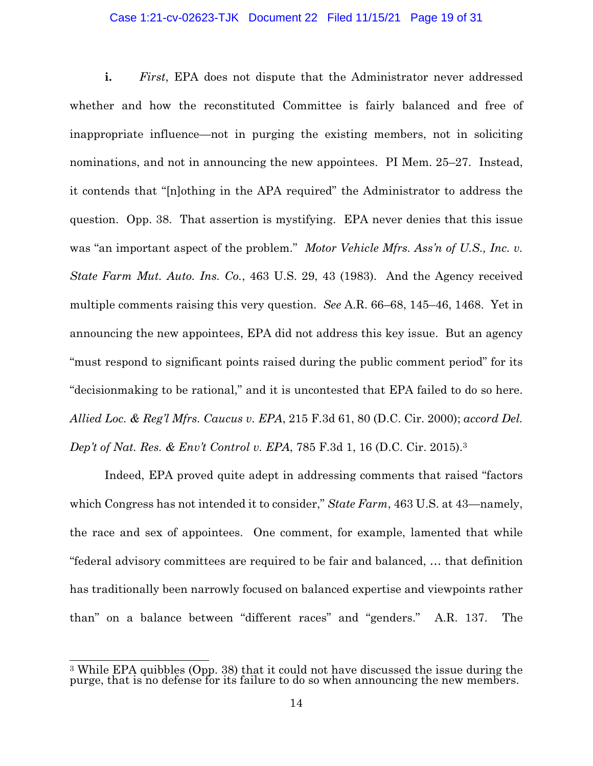# Case 1:21-cv-02623-TJK Document 22 Filed 11/15/21 Page 19 of 31

**i.** *First*, EPA does not dispute that the Administrator never addressed whether and how the reconstituted Committee is fairly balanced and free of inappropriate influence—not in purging the existing members, not in soliciting nominations, and not in announcing the new appointees. PI Mem. 25–27. Instead, it contends that "[n]othing in the APA required" the Administrator to address the question. Opp. 38. That assertion is mystifying. EPA never denies that this issue was "an important aspect of the problem." *Motor Vehicle Mfrs. Ass'n of U.S., Inc. v. State Farm Mut. Auto. Ins. Co.*, 463 U.S. 29, 43 (1983). And the Agency received multiple comments raising this very question. *See* A.R. 66–68, 145–46, 1468. Yet in announcing the new appointees, EPA did not address this key issue. But an agency "must respond to significant points raised during the public comment period" for its "decisionmaking to be rational," and it is uncontested that EPA failed to do so here. *Allied Loc. & Reg'l Mfrs. Caucus v. EPA*, 215 F.3d 61, 80 (D.C. Cir. 2000); *accord Del. Dep't of Nat. Res. & Env't Control v. EPA*, 785 F.3d 1, 16 (D.C. Cir. 2015).3

Indeed, EPA proved quite adept in addressing comments that raised "factors which Congress has not intended it to consider," *State Farm*, 463 U.S. at 43—namely, the race and sex of appointees. One comment, for example, lamented that while "federal advisory committees are required to be fair and balanced, … that definition has traditionally been narrowly focused on balanced expertise and viewpoints rather than" on a balance between "different races" and "genders." A.R. 137. The

<sup>&</sup>lt;u>.</u>  $3$  While EPA quibbles (Opp. 38) that it could not have discussed the issue during the purge, that is no defense for its failure to do so when announcing the new members.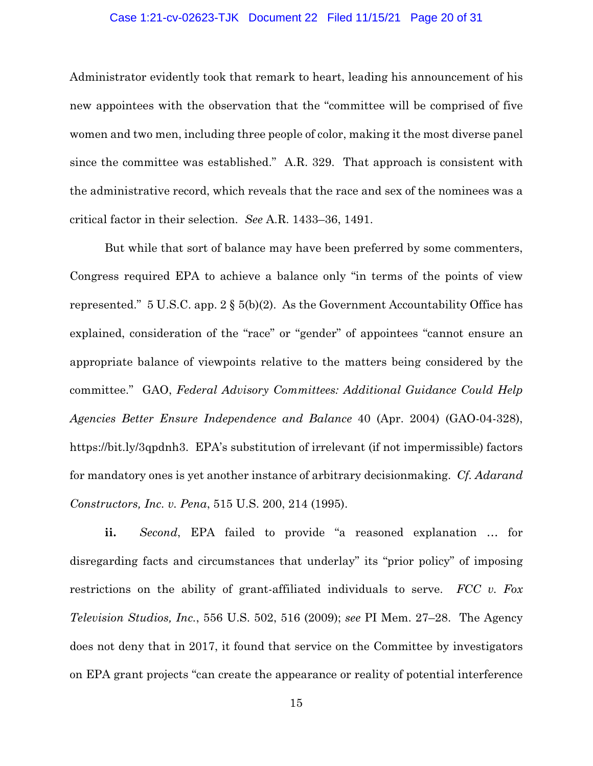# Case 1:21-cv-02623-TJK Document 22 Filed 11/15/21 Page 20 of 31

Administrator evidently took that remark to heart, leading his announcement of his new appointees with the observation that the "committee will be comprised of five women and two men, including three people of color, making it the most diverse panel since the committee was established." A.R. 329. That approach is consistent with the administrative record, which reveals that the race and sex of the nominees was a critical factor in their selection. *See* A.R. 1433–36, 1491.

But while that sort of balance may have been preferred by some commenters, Congress required EPA to achieve a balance only "in terms of the points of view represented." 5 U.S.C. app.  $2 \S 5(b)(2)$ . As the Government Accountability Office has explained, consideration of the "race" or "gender" of appointees "cannot ensure an appropriate balance of viewpoints relative to the matters being considered by the committee." GAO, *Federal Advisory Committees: Additional Guidance Could Help Agencies Better Ensure Independence and Balance* 40 (Apr. 2004) (GAO-04-328), https://bit.ly/3qpdnh3. EPA's substitution of irrelevant (if not impermissible) factors for mandatory ones is yet another instance of arbitrary decisionmaking. *Cf. Adarand Constructors, Inc. v. Pena*, 515 U.S. 200, 214 (1995).

**ii.** *Second*, EPA failed to provide "a reasoned explanation … for disregarding facts and circumstances that underlay" its "prior policy" of imposing restrictions on the ability of grant-affiliated individuals to serve. *FCC v. Fox Television Studios, Inc.*, 556 U.S. 502, 516 (2009); *see* PI Mem. 27–28. The Agency does not deny that in 2017, it found that service on the Committee by investigators on EPA grant projects "can create the appearance or reality of potential interference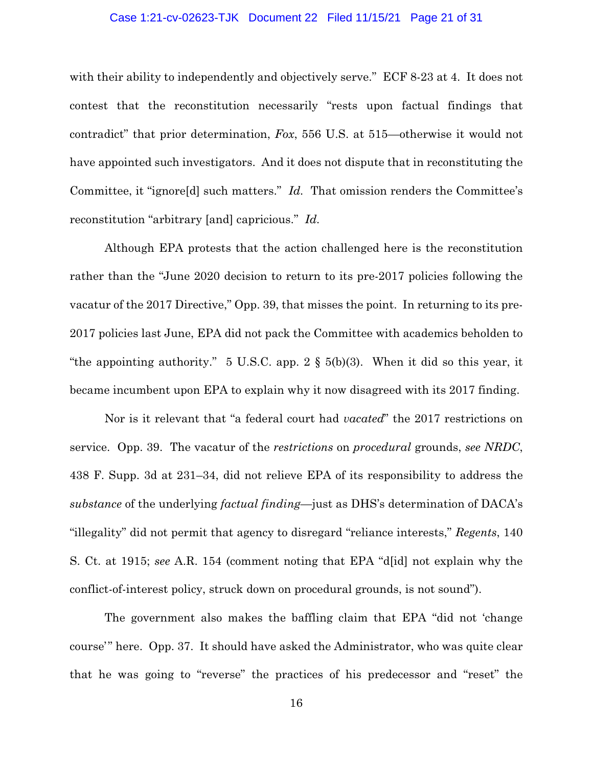# Case 1:21-cv-02623-TJK Document 22 Filed 11/15/21 Page 21 of 31

with their ability to independently and objectively serve." ECF 8-23 at 4. It does not contest that the reconstitution necessarily "rests upon factual findings that contradict" that prior determination, *Fox*, 556 U.S. at 515—otherwise it would not have appointed such investigators. And it does not dispute that in reconstituting the Committee, it "ignore[d] such matters." *Id.* That omission renders the Committee's reconstitution "arbitrary [and] capricious." *Id.*

Although EPA protests that the action challenged here is the reconstitution rather than the "June 2020 decision to return to its pre-2017 policies following the vacatur of the 2017 Directive," Opp. 39, that misses the point. In returning to its pre-2017 policies last June, EPA did not pack the Committee with academics beholden to "the appointing authority." 5 U.S.C. app.  $2 \S 5(b)(3)$ . When it did so this year, it became incumbent upon EPA to explain why it now disagreed with its 2017 finding.

Nor is it relevant that "a federal court had *vacated*" the 2017 restrictions on service. Opp. 39. The vacatur of the *restrictions* on *procedural* grounds, *see NRDC*, 438 F. Supp. 3d at 231–34, did not relieve EPA of its responsibility to address the *substance* of the underlying *factual finding*—just as DHS's determination of DACA's "illegality" did not permit that agency to disregard "reliance interests," *Regents*, 140 S. Ct. at 1915; *see* A.R. 154 (comment noting that EPA "d[id] not explain why the conflict-of-interest policy, struck down on procedural grounds, is not sound").

The government also makes the baffling claim that EPA "did not 'change course'" here. Opp. 37. It should have asked the Administrator, who was quite clear that he was going to "reverse" the practices of his predecessor and "reset" the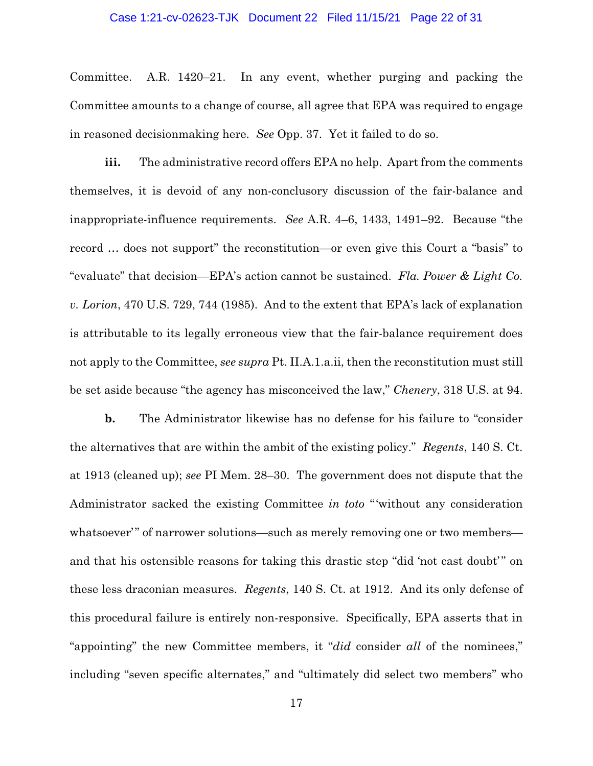### Case 1:21-cv-02623-TJK Document 22 Filed 11/15/21 Page 22 of 31

Committee. A.R. 1420–21. In any event, whether purging and packing the Committee amounts to a change of course, all agree that EPA was required to engage in reasoned decisionmaking here. *See* Opp. 37. Yet it failed to do so.

**iii.** The administrative record offers EPA no help. Apart from the comments themselves, it is devoid of any non-conclusory discussion of the fair-balance and inappropriate-influence requirements. *See* A.R. 4–6, 1433, 1491–92. Because "the record … does not support" the reconstitution—or even give this Court a "basis" to "evaluate" that decision—EPA's action cannot be sustained. *Fla. Power & Light Co. v. Lorion*, 470 U.S. 729, 744 (1985). And to the extent that EPA's lack of explanation is attributable to its legally erroneous view that the fair-balance requirement does not apply to the Committee, *see supra* Pt. II.A.1.a.ii, then the reconstitution must still be set aside because "the agency has misconceived the law," *Chenery*, 318 U.S. at 94.

**b.** The Administrator likewise has no defense for his failure to "consider" the alternatives that are within the ambit of the existing policy." *Regents*, 140 S. Ct. at 1913 (cleaned up); *see* PI Mem. 28–30. The government does not dispute that the Administrator sacked the existing Committee *in toto* "'without any consideration whatsoever'" of narrower solutions—such as merely removing one or two members and that his ostensible reasons for taking this drastic step "did 'not cast doubt'" on these less draconian measures. *Regents*, 140 S. Ct. at 1912. And its only defense of this procedural failure is entirely non-responsive. Specifically, EPA asserts that in "appointing" the new Committee members, it "*did* consider *all* of the nominees," including "seven specific alternates," and "ultimately did select two members" who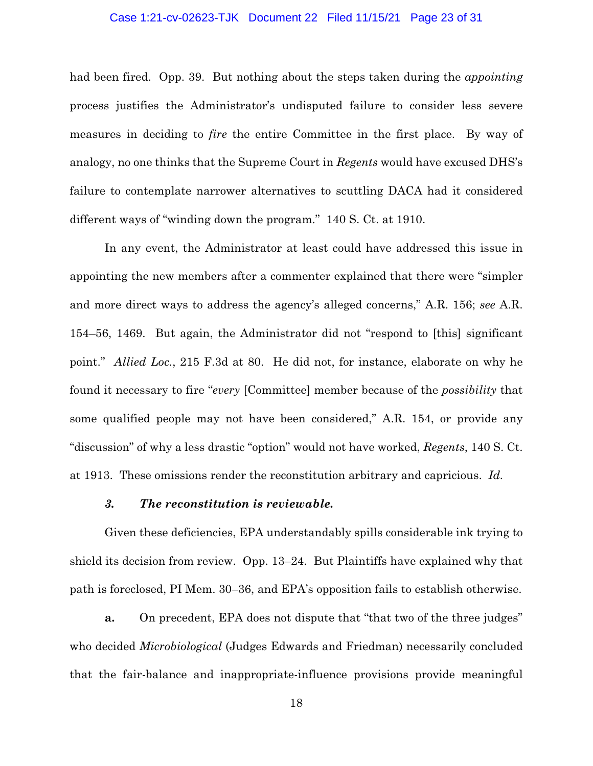# Case 1:21-cv-02623-TJK Document 22 Filed 11/15/21 Page 23 of 31

had been fired. Opp. 39. But nothing about the steps taken during the *appointing* process justifies the Administrator's undisputed failure to consider less severe measures in deciding to *fire* the entire Committee in the first place. By way of analogy, no one thinks that the Supreme Court in *Regents* would have excused DHS's failure to contemplate narrower alternatives to scuttling DACA had it considered different ways of "winding down the program." 140 S. Ct. at 1910.

In any event, the Administrator at least could have addressed this issue in appointing the new members after a commenter explained that there were "simpler and more direct ways to address the agency's alleged concerns," A.R. 156; *see* A.R. 154–56, 1469. But again, the Administrator did not "respond to [this] significant point." *Allied Loc.*, 215 F.3d at 80. He did not, for instance, elaborate on why he found it necessary to fire "*every* [Committee] member because of the *possibility* that some qualified people may not have been considered," A.R. 154, or provide any "discussion" of why a less drastic "option" would not have worked, *Regents*, 140 S. Ct. at 1913. These omissions render the reconstitution arbitrary and capricious. *Id.*

#### *3. The reconstitution is reviewable.*

Given these deficiencies, EPA understandably spills considerable ink trying to shield its decision from review. Opp. 13–24. But Plaintiffs have explained why that path is foreclosed, PI Mem. 30–36, and EPA's opposition fails to establish otherwise.

**a.** On precedent, EPA does not dispute that "that two of the three judges" who decided *Microbiological* (Judges Edwards and Friedman) necessarily concluded that the fair-balance and inappropriate-influence provisions provide meaningful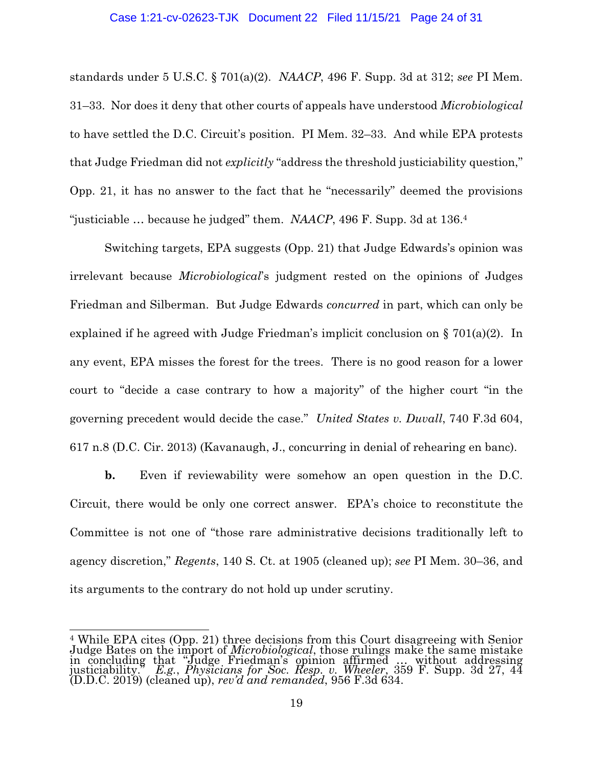# Case 1:21-cv-02623-TJK Document 22 Filed 11/15/21 Page 24 of 31

standards under 5 U.S.C. § 701(a)(2). *NAACP*, 496 F. Supp. 3d at 312; *see* PI Mem. 31–33. Nor does it deny that other courts of appeals have understood *Microbiological*  to have settled the D.C. Circuit's position. PI Mem. 32–33. And while EPA protests that Judge Friedman did not *explicitly* "address the threshold justiciability question," Opp. 21, it has no answer to the fact that he "necessarily" deemed the provisions "justiciable … because he judged" them. *NAACP*, 496 F. Supp. 3d at 136.4

Switching targets, EPA suggests (Opp. 21) that Judge Edwards's opinion was irrelevant because *Microbiological*'s judgment rested on the opinions of Judges Friedman and Silberman. But Judge Edwards *concurred* in part, which can only be explained if he agreed with Judge Friedman's implicit conclusion on § 701(a)(2). In any event, EPA misses the forest for the trees. There is no good reason for a lower court to "decide a case contrary to how a majority" of the higher court "in the governing precedent would decide the case." *United States v. Duvall*, 740 F.3d 604, 617 n.8 (D.C. Cir. 2013) (Kavanaugh, J., concurring in denial of rehearing en banc).

**b.** Even if reviewability were somehow an open question in the D.C. Circuit, there would be only one correct answer. EPA's choice to reconstitute the Committee is not one of "those rare administrative decisions traditionally left to agency discretion," *Regents*, 140 S. Ct. at 1905 (cleaned up); *see* PI Mem. 30–36, and its arguments to the contrary do not hold up under scrutiny.

 $\overline{a}$ <sup>4</sup> While EPA cites (Opp. 21) three decisions from this Court disagreeing with Senior<br>Judge Bates on the import of *Microbiological*, those <u>r</u>ulings make the same mistake in concluding that "Judge Friedman's opinion affirmed … without addressing justiciability." *E.g.*, *Physicians for Soc. Resp. v. Wheeler*, 359 F. Supp. 3d 27, 44 (D.D.C. 2019) (cleaned up), *rev'd and remanded*, 956 F.3d 634.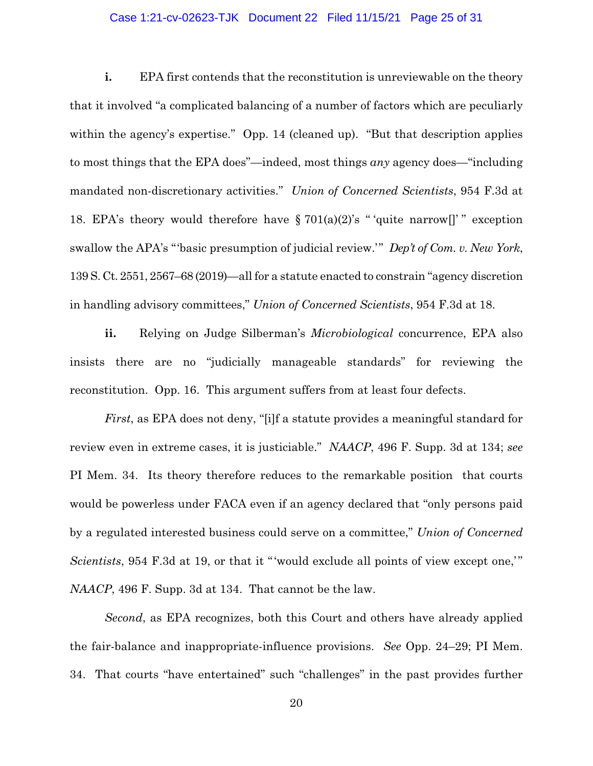# Case 1:21-cv-02623-TJK Document 22 Filed 11/15/21 Page 25 of 31

**i.** EPA first contends that the reconstitution is unreviewable on the theory that it involved "a complicated balancing of a number of factors which are peculiarly within the agency's expertise." Opp. 14 (cleaned up). "But that description applies to most things that the EPA does"—indeed, most things *any* agency does—"including mandated non-discretionary activities." *Union of Concerned Scientists*, 954 F.3d at 18. EPA's theory would therefore have  $\S 701(a)(2)$ 's "quite narrow[]'" exception swallow the APA's "'basic presumption of judicial review.'" *Dep't of Com. v. New York*, 139 S. Ct. 2551, 2567–68 (2019)—all for a statute enacted to constrain "agency discretion in handling advisory committees," *Union of Concerned Scientists*, 954 F.3d at 18.

**ii.** Relying on Judge Silberman's *Microbiological* concurrence, EPA also insists there are no "judicially manageable standards" for reviewing the reconstitution. Opp. 16. This argument suffers from at least four defects.

*First*, as EPA does not deny, "[i]f a statute provides a meaningful standard for review even in extreme cases, it is justiciable." *NAACP*, 496 F. Supp. 3d at 134; *see*  PI Mem. 34. Its theory therefore reduces to the remarkable position that courts would be powerless under FACA even if an agency declared that "only persons paid by a regulated interested business could serve on a committee," *Union of Concerned Scientists*, 954 F.3d at 19, or that it "'would exclude all points of view except one,'" *NAACP*, 496 F. Supp. 3d at 134. That cannot be the law.

*Second*, as EPA recognizes, both this Court and others have already applied the fair-balance and inappropriate-influence provisions. *See* Opp. 24–29; PI Mem. 34. That courts "have entertained" such "challenges" in the past provides further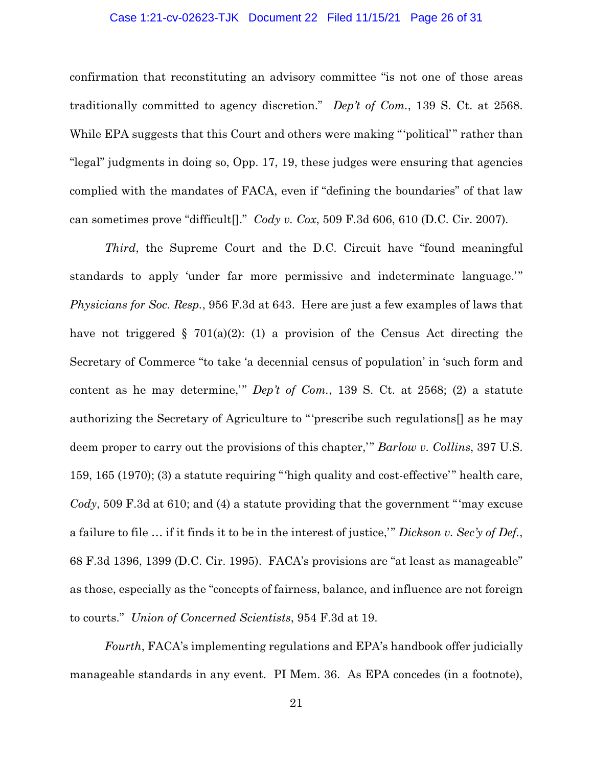# Case 1:21-cv-02623-TJK Document 22 Filed 11/15/21 Page 26 of 31

confirmation that reconstituting an advisory committee "is not one of those areas traditionally committed to agency discretion." *Dep't of Com.*, 139 S. Ct. at 2568. While EPA suggests that this Court and others were making "'political'" rather than "legal" judgments in doing so, Opp. 17, 19, these judges were ensuring that agencies complied with the mandates of FACA, even if "defining the boundaries" of that law can sometimes prove "difficult[]." *Cody v. Cox*, 509 F.3d 606, 610 (D.C. Cir. 2007)*.*

*Third*, the Supreme Court and the D.C. Circuit have "found meaningful" standards to apply 'under far more permissive and indeterminate language.'" *Physicians for Soc. Resp.*, 956 F.3d at 643. Here are just a few examples of laws that have not triggered § 701(a)(2): (1) a provision of the Census Act directing the Secretary of Commerce "to take 'a decennial census of population' in 'such form and content as he may determine,'" *Dep't of Com.*, 139 S. Ct. at 2568; (2) a statute authorizing the Secretary of Agriculture to "'prescribe such regulations[] as he may deem proper to carry out the provisions of this chapter,'" *Barlow v. Collins*, 397 U.S. 159, 165 (1970); (3) a statute requiring "'high quality and cost-effective'" health care, *Cody*, 509 F.3d at 610; and (4) a statute providing that the government "'may excuse a failure to file … if it finds it to be in the interest of justice,'" *Dickson v. Sec'y of Def.*, 68 F.3d 1396, 1399 (D.C. Cir. 1995). FACA's provisions are "at least as manageable" as those, especially as the "concepts of fairness, balance, and influence are not foreign to courts." *Union of Concerned Scientists*, 954 F.3d at 19.

*Fourth*, FACA's implementing regulations and EPA's handbook offer judicially manageable standards in any event. PI Mem. 36. As EPA concedes (in a footnote),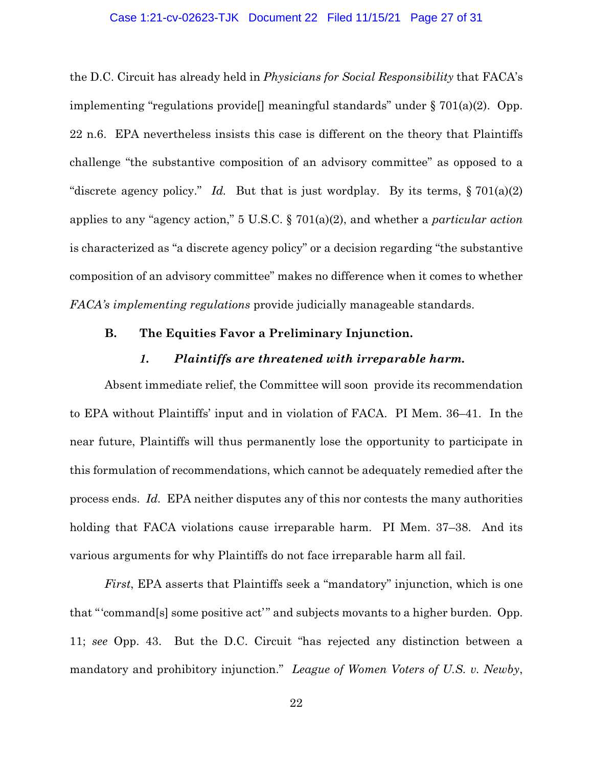# Case 1:21-cv-02623-TJK Document 22 Filed 11/15/21 Page 27 of 31

the D.C. Circuit has already held in *Physicians for Social Responsibility* that FACA's implementing "regulations provide<sup>[]</sup> meaningful standards" under  $\S 701(a)(2)$ . Opp. 22 n.6. EPA nevertheless insists this case is different on the theory that Plaintiffs challenge "the substantive composition of an advisory committee" as opposed to a "discrete agency policy." *Id.* But that is just wordplay. By its terms,  $\S 701(a)(2)$ applies to any "agency action," 5 U.S.C. § 701(a)(2), and whether a *particular action* is characterized as "a discrete agency policy" or a decision regarding "the substantive composition of an advisory committee" makes no difference when it comes to whether *FACA's implementing regulations* provide judicially manageable standards.

# **B. The Equities Favor a Preliminary Injunction.**

# *1. Plaintiffs are threatened with irreparable harm.*

Absent immediate relief, the Committee will soon provide its recommendation to EPA without Plaintiffs' input and in violation of FACA. PI Mem. 36–41. In the near future, Plaintiffs will thus permanently lose the opportunity to participate in this formulation of recommendations, which cannot be adequately remedied after the process ends. *Id.* EPA neither disputes any of this nor contests the many authorities holding that FACA violations cause irreparable harm. PI Mem. 37–38. And its various arguments for why Plaintiffs do not face irreparable harm all fail.

*First*, EPA asserts that Plaintiffs seek a "mandatory" injunction, which is one that "'command[s] some positive act'" and subjects movants to a higher burden. Opp. 11; *see* Opp. 43. But the D.C. Circuit "has rejected any distinction between a mandatory and prohibitory injunction." *League of Women Voters of U.S. v. Newby*,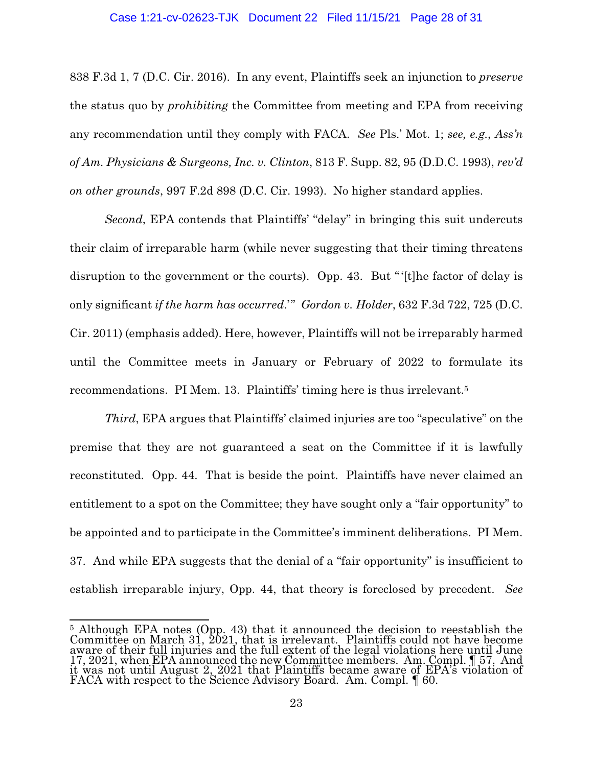# Case 1:21-cv-02623-TJK Document 22 Filed 11/15/21 Page 28 of 31

838 F.3d 1, 7 (D.C. Cir. 2016). In any event, Plaintiffs seek an injunction to *preserve*  the status quo by *prohibiting* the Committee from meeting and EPA from receiving any recommendation until they comply with FACA. *See* Pls.' Mot. 1; *see, e.g.*, *Ass'n of Am. Physicians & Surgeons, Inc. v. Clinton*, 813 F. Supp. 82, 95 (D.D.C. 1993), *rev'd on other grounds*, 997 F.2d 898 (D.C. Cir. 1993). No higher standard applies.

*Second*, EPA contends that Plaintiffs' "delay" in bringing this suit undercuts their claim of irreparable harm (while never suggesting that their timing threatens disruption to the government or the courts). Opp. 43. But "'[t]he factor of delay is only significant *if the harm has occurred*.'" *Gordon v. Holder*, 632 F.3d 722, 725 (D.C. Cir. 2011) (emphasis added). Here, however, Plaintiffs will not be irreparably harmed until the Committee meets in January or February of 2022 to formulate its recommendations. PI Mem. 13. Plaintiffs' timing here is thus irrelevant.5

*Third*, EPA argues that Plaintiffs' claimed injuries are too "speculative" on the premise that they are not guaranteed a seat on the Committee if it is lawfully reconstituted. Opp. 44. That is beside the point. Plaintiffs have never claimed an entitlement to a spot on the Committee; they have sought only a "fair opportunity" to be appointed and to participate in the Committee's imminent deliberations. PI Mem. 37. And while EPA suggests that the denial of a "fair opportunity" is insufficient to establish irreparable injury, Opp. 44, that theory is foreclosed by precedent. *See* 

 $\overline{a}$ 

<sup>&</sup>lt;sup>5</sup> Although EPA notes (Opp. 43) that it announced the decision to reestablish the Committee on March 31, 2021, that is irrelevant. Plaintiffs could not have become aware of their full injuries and the full extent of the legal violations here until June 17, 2021, when EPA announced the new Committee members. Am. Compl. 157. And<br>it was not until August 2, 2021 that Plaintiffs became aware of EPA's violation of FACA with respect to the Science Advisory Board. Am. Compl. ¶ 60.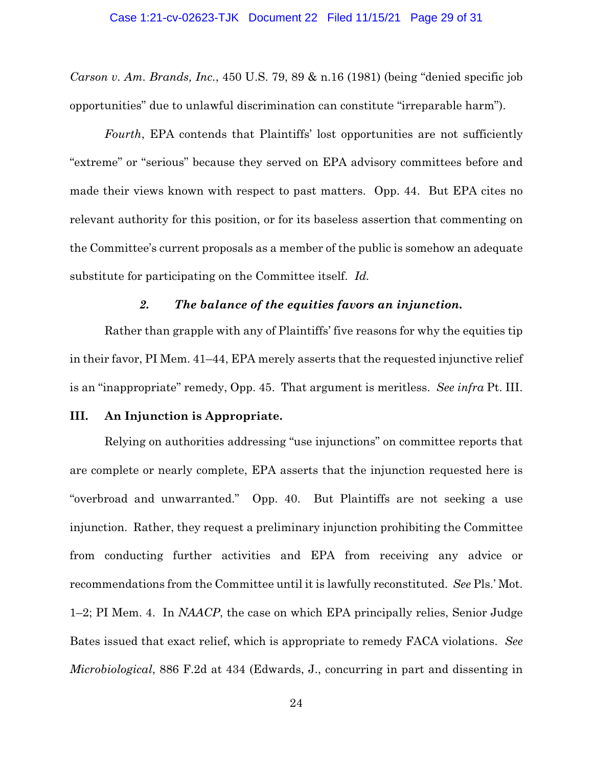*Carson v. Am. Brands, Inc.*, 450 U.S. 79, 89 & n.16 (1981) (being "denied specific job opportunities" due to unlawful discrimination can constitute "irreparable harm").

*Fourth*, EPA contends that Plaintiffs' lost opportunities are not sufficiently "extreme" or "serious" because they served on EPA advisory committees before and made their views known with respect to past matters. Opp. 44. But EPA cites no relevant authority for this position, or for its baseless assertion that commenting on the Committee's current proposals as a member of the public is somehow an adequate substitute for participating on the Committee itself. *Id.*

# *2. The balance of the equities favors an injunction.*

Rather than grapple with any of Plaintiffs' five reasons for why the equities tip in their favor, PI Mem. 41–44, EPA merely asserts that the requested injunctive relief is an "inappropriate" remedy, Opp. 45. That argument is meritless. *See infra* Pt. III.

# **III. An Injunction is Appropriate.**

Relying on authorities addressing "use injunctions" on committee reports that are complete or nearly complete, EPA asserts that the injunction requested here is "overbroad and unwarranted." Opp. 40. But Plaintiffs are not seeking a use injunction. Rather, they request a preliminary injunction prohibiting the Committee from conducting further activities and EPA from receiving any advice or recommendations from the Committee until it is lawfully reconstituted. *See* Pls.' Mot. 1–2; PI Mem. 4. In *NAACP*, the case on which EPA principally relies, Senior Judge Bates issued that exact relief, which is appropriate to remedy FACA violations. *See Microbiological*, 886 F.2d at 434 (Edwards, J., concurring in part and dissenting in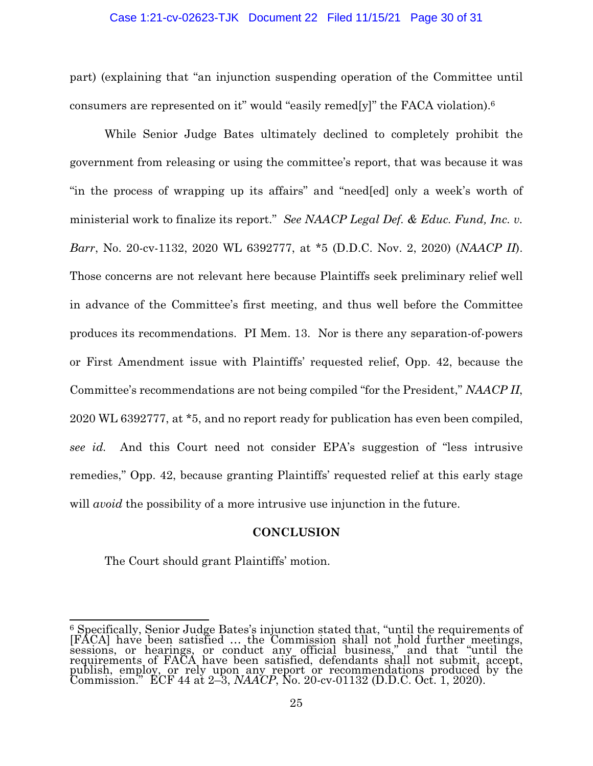# Case 1:21-cv-02623-TJK Document 22 Filed 11/15/21 Page 30 of 31

part) (explaining that "an injunction suspending operation of the Committee until consumers are represented on it" would "easily remed[y]" the FACA violation).<sup>6</sup>

 While Senior Judge Bates ultimately declined to completely prohibit the government from releasing or using the committee's report, that was because it was "in the process of wrapping up its affairs" and "need[ed] only a week's worth of ministerial work to finalize its report." *See NAACP Legal Def. & Educ. Fund, Inc. v. Barr*, No. 20-cv-1132, 2020 WL 6392777, at \*5 (D.D.C. Nov. 2, 2020) (*NAACP II*). Those concerns are not relevant here because Plaintiffs seek preliminary relief well in advance of the Committee's first meeting, and thus well before the Committee produces its recommendations. PI Mem. 13. Nor is there any separation-of-powers or First Amendment issue with Plaintiffs' requested relief, Opp. 42, because the Committee's recommendations are not being compiled "for the President," *NAACP II*, 2020 WL 6392777, at \*5, and no report ready for publication has even been compiled, *see id.* And this Court need not consider EPA's suggestion of "less intrusive remedies," Opp. 42, because granting Plaintiffs' requested relief at this early stage will *avoid* the possibility of a more intrusive use injunction in the future.

# **CONCLUSION**

The Court should grant Plaintiffs' motion.

<sup>&</sup>lt;u>.</u>  $6$  Specifically, Senior Judge Bates's injunction stated that, "until the requirements of [FACA] have been satisfied ... the Commission shall not hold further meetings, sessions, or hearings, or conduct any official busin requirements of FACA have been satisfied, defendants shall not submit, accept, publish, employ, or rely upon any report or recommendations produced by the Commission." ECF 44 at 2–3, *NAACP*, No. 20-cv-01132 (D.D.C. Oct. 1, 2020).